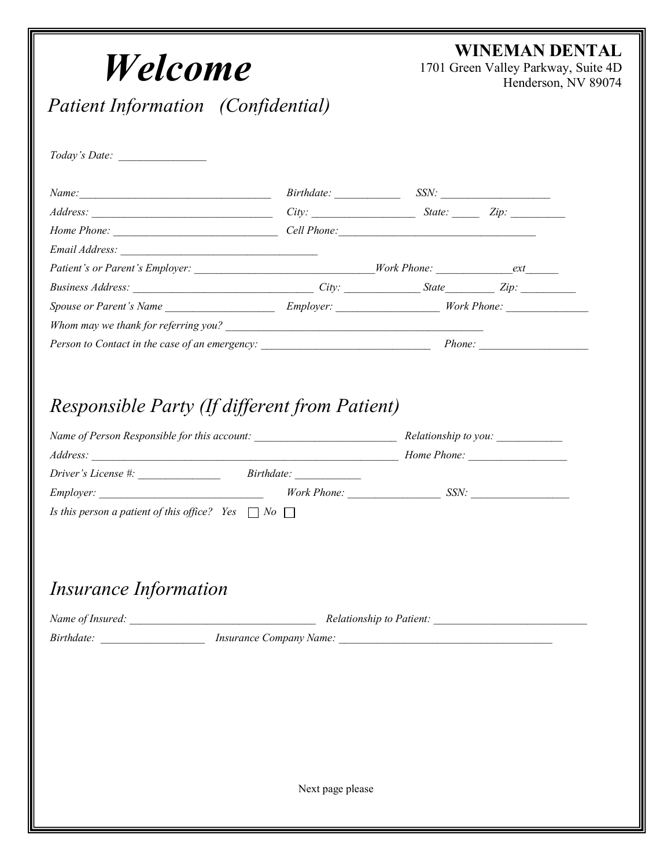| Welcome                                                                                                        |                  | WINEMAN DENTAL<br>1701 Green Valley Parkway, Suite 4D<br>Henderson, NV 89074 |  |  |
|----------------------------------------------------------------------------------------------------------------|------------------|------------------------------------------------------------------------------|--|--|
| <b>Patient Information</b> (Confidential)                                                                      |                  |                                                                              |  |  |
|                                                                                                                |                  |                                                                              |  |  |
| Name: SSN: SSN: SSN:                                                                                           |                  |                                                                              |  |  |
| Address: <u>City:</u> City: State: Zip: Zip:                                                                   |                  |                                                                              |  |  |
|                                                                                                                |                  |                                                                              |  |  |
|                                                                                                                |                  |                                                                              |  |  |
| Patient's or Parent's Employer: _________________________________Work Phone: _________________________________ |                  |                                                                              |  |  |
|                                                                                                                |                  |                                                                              |  |  |
|                                                                                                                |                  |                                                                              |  |  |
|                                                                                                                |                  |                                                                              |  |  |
|                                                                                                                |                  |                                                                              |  |  |
|                                                                                                                |                  |                                                                              |  |  |
| $\textit{Driver's License} \#:$ $\hspace{1.5cm} \textit{Birthdate:}$                                           |                  |                                                                              |  |  |
|                                                                                                                |                  |                                                                              |  |  |
| Is this person a patient of this office? Yes $\Box$ No $\Box$                                                  |                  |                                                                              |  |  |
|                                                                                                                |                  |                                                                              |  |  |
| <i>Insurance Information</i>                                                                                   |                  |                                                                              |  |  |
|                                                                                                                |                  |                                                                              |  |  |
|                                                                                                                |                  |                                                                              |  |  |
|                                                                                                                |                  |                                                                              |  |  |
|                                                                                                                |                  |                                                                              |  |  |
|                                                                                                                |                  |                                                                              |  |  |
|                                                                                                                |                  |                                                                              |  |  |
|                                                                                                                |                  |                                                                              |  |  |
|                                                                                                                |                  |                                                                              |  |  |
|                                                                                                                |                  |                                                                              |  |  |
|                                                                                                                | Next page please |                                                                              |  |  |
|                                                                                                                |                  |                                                                              |  |  |
|                                                                                                                |                  |                                                                              |  |  |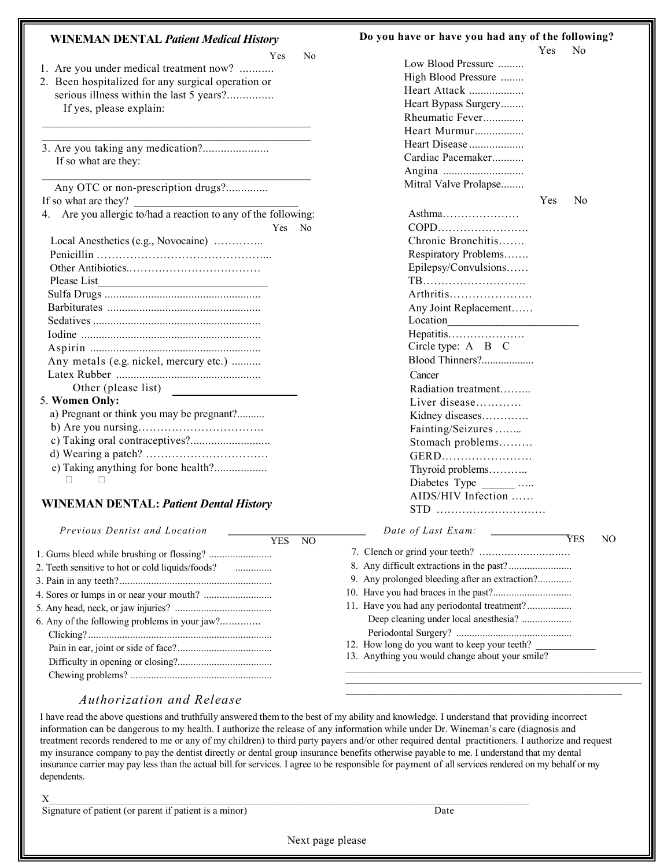| <b>WINEMAN DENTAL Patient Medical History</b>                  | Do you have o |
|----------------------------------------------------------------|---------------|
| Yes<br>No                                                      |               |
| 1. Are you under medical treatment now?                        | Low I         |
| 2. Been hospitalized for any surgical operation or             | <b>High</b>   |
| serious illness within the last 5 years?                       | Heart         |
| If yes, please explain:                                        | Heart         |
|                                                                | Rheu          |
|                                                                | Heart         |
| 3. Are you taking any medication?                              | Heart         |
| If so what are they:                                           | Cardi         |
|                                                                | Angin         |
| Any OTC or non-prescription drugs?                             | Mitra         |
| If so what are they?                                           |               |
| 4. Are you allergic to/had a reaction to any of the following: | Asth          |
| Yes<br>No                                                      | <b>COP</b>    |
| Local Anesthetics (e.g., Novocaine)                            | Chro          |
|                                                                | Resp          |
|                                                                | Epile         |
| Please List                                                    | TB            |
|                                                                | Arth          |
|                                                                | Any           |
|                                                                | Loca          |
|                                                                | Hepa          |
|                                                                | Circl         |
| Any metals (e.g. nickel, mercury etc.)                         | Bloo          |
|                                                                | Canc          |
| Other (please list)                                            | Radi          |
| 5. Women Only:                                                 | Live          |
| a) Pregnant or think you may be pregnant?                      | Kidr          |
|                                                                | Fain          |
|                                                                | Stor          |
|                                                                | <b>GEF</b>    |
| e) Taking anything for bone health?                            | Thy           |
| H<br>$\mathbf{L}$                                              | Diab          |
|                                                                | AID           |
| <b>WINEMAN DENTAL: Patient Dental History</b>                  | <b>CTD</b>    |

*Previous Dentist and Location*  $\overline{YFS}$  NO

|                                                  | YES | NΟ |
|--------------------------------------------------|-----|----|
|                                                  |     |    |
| 2. Teeth sensitive to hot or cold liquids/foods? |     |    |
|                                                  |     |    |
|                                                  |     |    |
|                                                  |     |    |
| 6. Any of the following problems in your $iaw$ ? |     |    |
|                                                  |     |    |
|                                                  |     |    |
|                                                  |     |    |
|                                                  |     |    |

#### **Do you have or have you had any of the following?**

|                                                | Yes        | No  |    |
|------------------------------------------------|------------|-----|----|
| Low Blood Pressure                             |            |     |    |
| High Blood Pressure                            |            |     |    |
| Heart Attack                                   |            |     |    |
| Heart Bypass Surgery                           |            |     |    |
| Rheumatic Fever                                |            |     |    |
| Heart Murmur                                   |            |     |    |
| Heart Disease                                  |            |     |    |
| Cardiac Pacemaker                              |            |     |    |
|                                                |            |     |    |
| Mitral Valve Prolapse                          |            |     |    |
|                                                | <b>Yes</b> | No  |    |
| Asthma                                         |            |     |    |
| COPD                                           |            |     |    |
| Chronic Bronchitis                             |            |     |    |
| Respiratory Problems                           |            |     |    |
| Epilepsy/Convulsions                           |            |     |    |
| TB                                             |            |     |    |
| Arthritis                                      |            |     |    |
| Any Joint Replacement                          |            |     |    |
|                                                |            |     |    |
| Hepatitis                                      |            |     |    |
| Circle type: A B C                             |            |     |    |
| Blood Thinners?                                |            |     |    |
| Cancer                                         |            |     |    |
|                                                |            |     |    |
| Radiation treatment<br>Liver disease           |            |     |    |
|                                                |            |     |    |
| Kidney diseases                                |            |     |    |
| Fainting/Seizures                              |            |     |    |
| Stomach problems                               |            |     |    |
| GERD                                           |            |     |    |
| Thyroid problems                               |            |     |    |
|                                                |            |     |    |
| AIDS/HIV Infection                             |            |     |    |
| STD                                            |            |     |    |
| Date of Last Exam:                             |            | YES | NO |
|                                                |            |     |    |
|                                                |            |     |    |
| 9. Any prolonged bleeding after an extraction? |            |     |    |
| 10.                                            |            |     |    |
| Have you had any periodontal treatment?<br>11. |            |     |    |
| Deep cleaning under local anesthesia?          |            |     |    |
|                                                |            |     |    |

## *Authorization and Release*

I have read the above questions and truthfully answered them to the best of my ability and knowledge. I understand that providing incorrect information can be dangerous to my health. I authorize the release of any information while under Dr. Wineman's care (diagnosis and treatment records rendered to me or any of my children) to third party payers and/or other required dental practitioners. I authorize and request my insurance company to pay the dentist directly or dental group insurance benefits otherwise payable to me. I understand that my dental insurance carrier may pay less than the actual bill for services. I agree to be responsible for payment of all services rendered on my behalf or my dependents.

 $X$ 

Signature of patient (or parent if patient is a minor) Date

Periodontal Surgery? ............................................

 $\mathcal{L}_\text{max}$  and the contract of the contract of the contract of the contract of the contract of the contract of  $\mathcal{L}_\text{max}$  and  $\mathcal{L}_\text{max}$  and  $\mathcal{L}_\text{max}$  and  $\mathcal{L}_\text{max}$  and  $\mathcal{L}_\text{max}$ 

12. How long do you want to keep your teeth? 13. Anything you would change about your smile?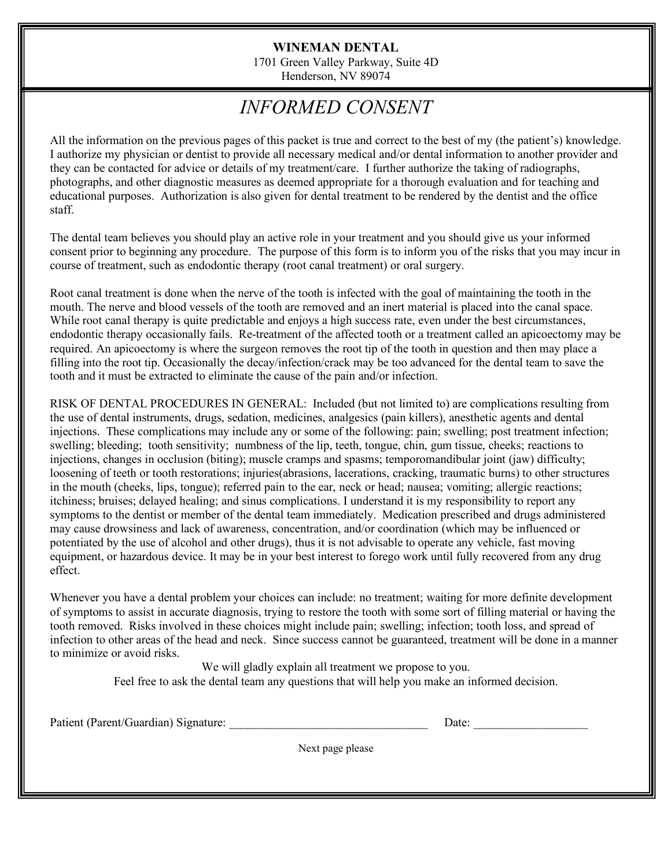### **WINEMAN DENTAL**

1701 Green Valley Parkway, Suite 4D Henderson, NV 89074

## *INFORMED CONSENT*

All the information on the previous pages of this packet is true and correct to the best of my (the patient's) knowledge. I authorize my physician or dentist to provide all necessary medical and/or dental information to another provider and they can be contacted for advice or details of my treatment/care. I further authorize the taking of radiographs, photographs, and other diagnostic measures as deemed appropriate for a thorough evaluation and for teaching and educational purposes. Authorization is also given for dental treatment to be rendered by the dentist and the office staff.

The dental team believes you should play an active role in your treatment and you should give us your informed consent prior to beginning any procedure. The purpose of this form is to inform you of the risks that you may incur in course of treatment, such as endodontic therapy (root canal treatment) or oral surgery.

Root canal treatment is done when the nerve of the tooth is infected with the goal of maintaining the tooth in the mouth. The nerve and blood vessels of the tooth are removed and an inert material is placed into the canal space. While root canal therapy is quite predictable and enjoys a high success rate, even under the best circumstances, endodontic therapy occasionally fails. Re-treatment of the affected tooth or a treatment called an apicoectomy may be required. An apicoectomy is where the surgeon removes the root tip of the tooth in question and then may place a filling into the root tip. Occasionally the decay/infection/crack may be too advanced for the dental team to save the tooth and it must be extracted to eliminate the cause of the pain and/or infection.

RISK OF DENTAL PROCEDURES IN GENERAL: Included (but not limited to) are complications resulting from the use of dental instruments, drugs, sedation, medicines, analgesics (pain killers), anesthetic agents and dental injections. These complications may include any or some of the following: pain; swelling; post treatment infection; swelling; bleeding; tooth sensitivity; numbness of the lip, teeth, tongue, chin, gum tissue, cheeks; reactions to injections, changes in occlusion (biting); muscle cramps and spasms; temporomandibular joint (jaw) difficulty; loosening of teeth or tooth restorations; injuries(abrasions, lacerations, cracking, traumatic burns) to other structures in the mouth (cheeks, lips, tongue); referred pain to the ear, neck or head; nausea; vomiting; allergic reactions; itchiness; bruises; delayed healing; and sinus complications. I understand it is my responsibility to report any symptoms to the dentist or member of the dental team immediately. Medication prescribed and drugs administered may cause drowsiness and lack of awareness, concentration, and/or coordination (which may be influenced or potentiated by the use of alcohol and other drugs), thus it is not advisable to operate any vehicle, fast moving equipment, or hazardous device. It may be in your best interest to forego work until fully recovered from any drug effect.

Whenever you have a dental problem your choices can include: no treatment; waiting for more definite development of symptoms to assist in accurate diagnosis, trying to restore the tooth with some sort of filling material or having the tooth removed. Risks involved in these choices might include pain; swelling; infection; tooth loss, and spread of infection to other areas of the head and neck. Since success cannot be guaranteed, treatment will be done in a manner to minimize or avoid risks.

> We will gladly explain all treatment we propose to you. Feel free to ask the dental team any questions that will help you make an informed decision.

Patient (Parent/Guardian) Signature:

| Date: |
|-------|
|-------|

Next page please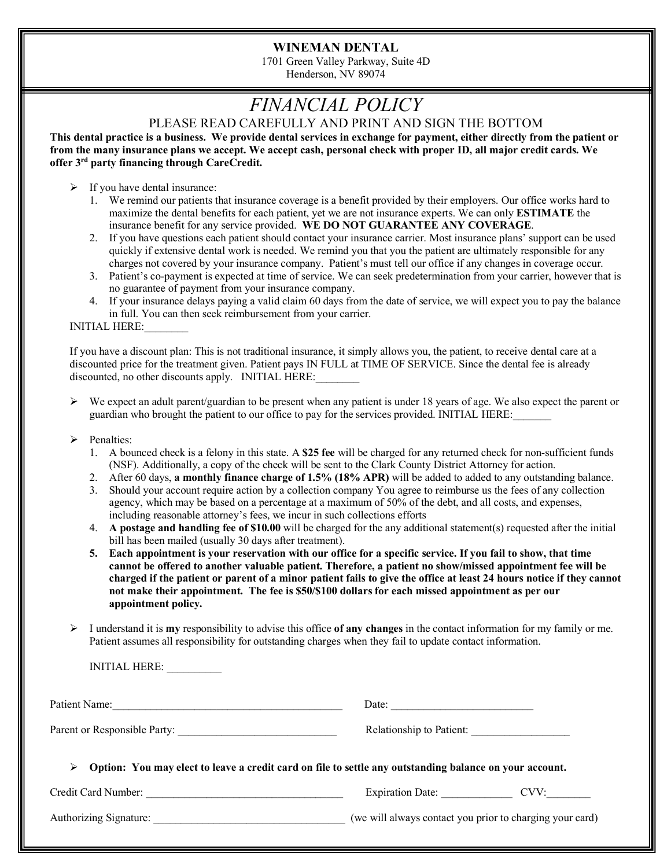#### **WINEMAN DENTAL**

1701 Green Valley Parkway, Suite 4D Henderson, NV 89074

# *FINANCIAL POLICY*

PLEASE READ CAREFULLY AND PRINT AND SIGN THE BOTTOM

**This dental practice is a business. We provide dental services in exchange for payment, either directly from the patient or from the many insurance plans we accept. We accept cash, personal check with proper ID, all major credit cards. We offer 3rd party financing through CareCredit.**

 $\triangleright$  If you have dental insurance:

- 1. We remind our patients that insurance coverage is a benefit provided by their employers. Our office works hard to maximize the dental benefits for each patient, yet we are not insurance experts. We can only **ESTIMATE** the insurance benefit for any service provided. **WE DO NOT GUARANTEE ANY COVERAGE**.
- 2. If you have questions each patient should contact your insurance carrier. Most insurance plans' support can be used quickly if extensive dental work is needed. We remind you that you the patient are ultimately responsible for any charges not covered by your insurance company. Patient's must tell our office if any changes in coverage occur.
- 3. Patient's co-payment is expected at time of service. We can seek predetermination from your carrier, however that is no guarantee of payment from your insurance company.
- 4. If your insurance delays paying a valid claim 60 days from the date of service, we will expect you to pay the balance in full. You can then seek reimbursement from your carrier.

INITIAL HERE:\_\_\_\_\_\_\_\_

If you have a discount plan: This is not traditional insurance, it simply allows you, the patient, to receive dental care at a discounted price for the treatment given. Patient pays IN FULL at TIME OF SERVICE. Since the dental fee is already discounted, no other discounts apply. INITIAL HERE:

- $\triangleright$  We expect an adult parent/guardian to be present when any patient is under 18 years of age. We also expect the parent or guardian who brought the patient to our office to pay for the services provided. INITIAL HERE:\_\_\_\_\_\_\_
- > Penalties:
	- 1. A bounced check is a felony in this state. A **\$25 fee** will be charged for any returned check for non-sufficient funds (NSF). Additionally, a copy of the check will be sent to the Clark County District Attorney for action.
	- 2. After 60 days, **a monthly finance charge of 1.5% (18% APR)** will be added to added to any outstanding balance.
	- 3. Should your account require action by a collection company You agree to reimburse us the fees of any collection agency, which may be based on a percentage at a maximum of 50% of the debt, and all costs, and expenses, including reasonable attorney's fees, we incur in such collections efforts
	- 4. **A postage and handling fee of \$10.00** will be charged for the any additional statement(s) requested after the initial bill has been mailed (usually 30 days after treatment).
	- **5. Each appointment is your reservation with our office for a specific service. If you fail to show, that time cannot be offered to another valuable patient. Therefore, a patient no show/missed appointment fee will be charged if the patient or parent of a minor patient fails to give the office at least 24 hours notice if they cannot not make their appointment. The fee is \$50/\$100 dollars for each missed appointment as per our appointment policy.**
- Ø I understand it is **my** responsibility to advise this office **of any changes** in the contact information for my family or me. Patient assumes all responsibility for outstanding charges when they fail to update contact information.

INITIAL HERE: \_\_\_\_\_\_\_\_\_\_

| Patient Name:                                                                                                | Date:                                                    |  |  |  |  |
|--------------------------------------------------------------------------------------------------------------|----------------------------------------------------------|--|--|--|--|
| Parent or Responsible Party:                                                                                 | Relationship to Patient:                                 |  |  |  |  |
| Option: You may elect to leave a credit card on file to settle any outstanding balance on your account.<br>⋗ |                                                          |  |  |  |  |
|                                                                                                              | Expiration Date: CVV:                                    |  |  |  |  |
| Authorizing Signature:                                                                                       | (we will always contact you prior to charging your card) |  |  |  |  |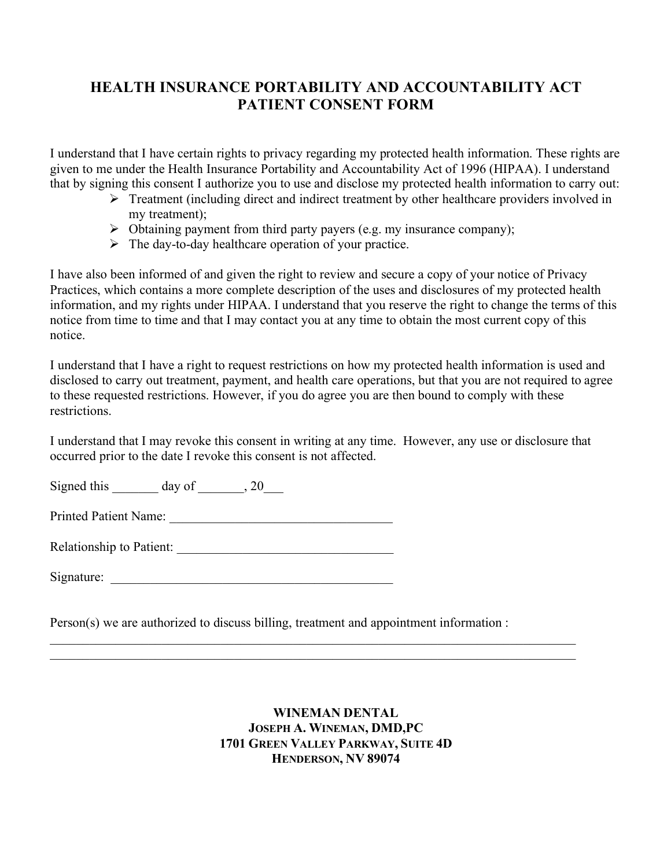## **HEALTH INSURANCE PORTABILITY AND ACCOUNTABILITY ACT PATIENT CONSENT FORM**

I understand that I have certain rights to privacy regarding my protected health information. These rights are given to me under the Health Insurance Portability and Accountability Act of 1996 (HIPAA). I understand that by signing this consent I authorize you to use and disclose my protected health information to carry out:

- Ø Treatment (including direct and indirect treatment by other healthcare providers involved in my treatment);
- $\triangleright$  Obtaining payment from third party payers (e.g. my insurance company);
- $\triangleright$  The day-to-day healthcare operation of your practice.

I have also been informed of and given the right to review and secure a copy of your notice of Privacy Practices, which contains a more complete description of the uses and disclosures of my protected health information, and my rights under HIPAA. I understand that you reserve the right to change the terms of this notice from time to time and that I may contact you at any time to obtain the most current copy of this notice.

I understand that I have a right to request restrictions on how my protected health information is used and disclosed to carry out treatment, payment, and health care operations, but that you are not required to agree to these requested restrictions. However, if you do agree you are then bound to comply with these restrictions.

I understand that I may revoke this consent in writing at any time. However, any use or disclosure that occurred prior to the date I revoke this consent is not affected.

Signed this  $\qquad \qquad$  day of  $\qquad \qquad$ , 20

Printed Patient Name: \_\_\_\_\_\_\_\_\_\_\_\_\_\_\_\_\_\_\_\_\_\_\_\_\_\_\_\_\_\_\_\_\_\_

Relationship to Patient: \_\_\_\_\_\_\_\_\_\_\_\_\_\_\_\_\_\_\_\_\_\_\_\_\_\_\_\_\_\_\_\_\_

| Signature: |  |
|------------|--|
|            |  |

Person(s) we are authorized to discuss billing, treatment and appointment information :

 $\mathcal{L}_\mathcal{L} = \{ \mathcal{L}_\mathcal{L} = \{ \mathcal{L}_\mathcal{L} = \{ \mathcal{L}_\mathcal{L} = \{ \mathcal{L}_\mathcal{L} = \{ \mathcal{L}_\mathcal{L} = \{ \mathcal{L}_\mathcal{L} = \{ \mathcal{L}_\mathcal{L} = \{ \mathcal{L}_\mathcal{L} = \{ \mathcal{L}_\mathcal{L} = \{ \mathcal{L}_\mathcal{L} = \{ \mathcal{L}_\mathcal{L} = \{ \mathcal{L}_\mathcal{L} = \{ \mathcal{L}_\mathcal{L} = \{ \mathcal{L}_\mathcal{$  $\mathcal{L}_\mathcal{L} = \{ \mathcal{L}_\mathcal{L} = \{ \mathcal{L}_\mathcal{L} = \{ \mathcal{L}_\mathcal{L} = \{ \mathcal{L}_\mathcal{L} = \{ \mathcal{L}_\mathcal{L} = \{ \mathcal{L}_\mathcal{L} = \{ \mathcal{L}_\mathcal{L} = \{ \mathcal{L}_\mathcal{L} = \{ \mathcal{L}_\mathcal{L} = \{ \mathcal{L}_\mathcal{L} = \{ \mathcal{L}_\mathcal{L} = \{ \mathcal{L}_\mathcal{L} = \{ \mathcal{L}_\mathcal{L} = \{ \mathcal{L}_\mathcal{$ 

> **WINEMAN DENTAL JOSEPH A. WINEMAN, DMD,PC 1701 GREEN VALLEY PARKWAY, SUITE 4D HENDERSON, NV 89074**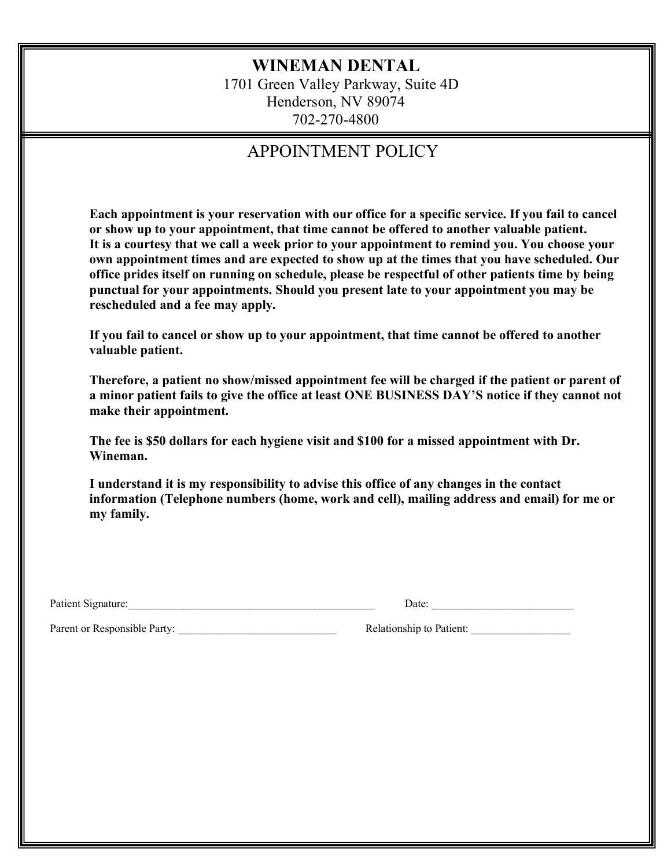## **WINEMAN DENTAL**

1701 Green Valley Parkway, Suite 4D Henderson, NV 89074 702-270-4800

## APPOINTMENT POLICY

**Each appointment is your reservation with our office for a specific service. If you fail to cancel or show up to your appointment, that time cannot be offered to another valuable patient. It is a courtesy that we call a week prior to your appointment to remind you. You choose your own appointment times and are expected to show up at the times that you have scheduled. Our office prides itself on running on schedule, please be respectful of other patients time by being punctual for your appointments. Should you present late to your appointment you may be rescheduled and a fee may apply.**

**If you fail to cancel or show up to your appointment, that time cannot be offered to another valuable patient.** 

**Therefore, a patient no show/missed appointment fee will be charged if the patient or parent of a minor patient fails to give the office at least ONE BUSINESS DAY'S notice if they cannot not make their appointment.** 

**The fee is \$50 dollars for each hygiene visit and \$100 for a missed appointment with Dr. Wineman.** 

**I understand it is my responsibility to advise this office of any changes in the contact information (Telephone numbers (home, work and cell), mailing address and email) for me or my family.**

Patient Signature:\_\_\_\_\_\_\_\_\_\_\_\_\_\_\_\_\_\_\_\_\_\_\_\_\_\_\_\_\_\_\_\_\_\_\_\_\_\_\_\_\_\_\_\_\_ Date: \_\_\_\_\_\_\_\_\_\_\_\_\_\_\_\_\_\_\_\_\_\_\_\_\_\_

Parent or Responsible Party: \_\_\_\_\_\_\_\_\_\_\_\_\_\_\_\_\_\_\_\_\_\_\_\_\_\_\_\_\_ Relationship to Patient: \_\_\_\_\_\_\_\_\_\_\_\_\_\_\_\_\_\_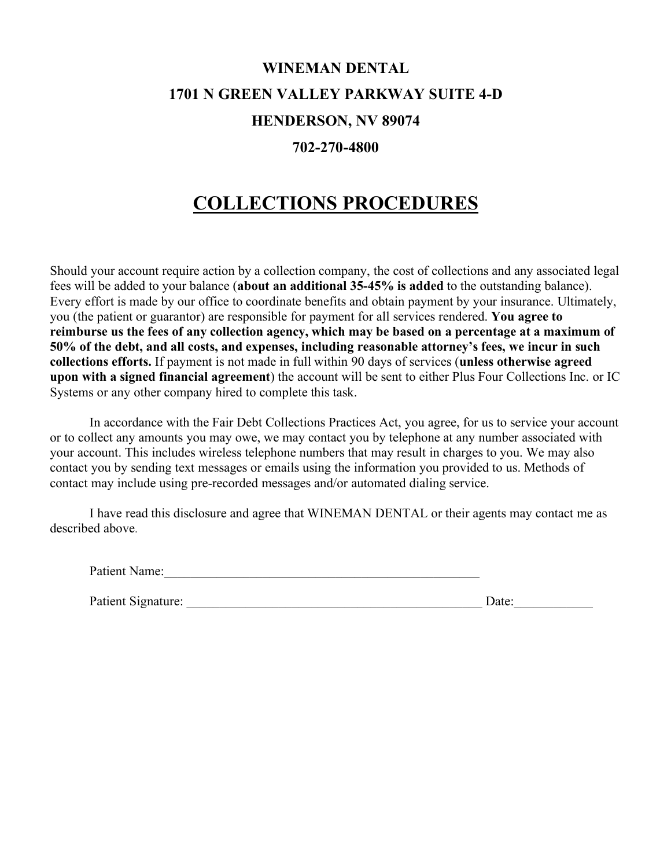# **WINEMAN DENTAL 1701 N GREEN VALLEY PARKWAY SUITE 4-D HENDERSON, NV 89074**

### **702-270-4800**

## **COLLECTIONS PROCEDURES**

Should your account require action by a collection company, the cost of collections and any associated legal fees will be added to your balance (**about an additional 35-45% is added** to the outstanding balance). Every effort is made by our office to coordinate benefits and obtain payment by your insurance. Ultimately, you (the patient or guarantor) are responsible for payment for all services rendered. **You agree to reimburse us the fees of any collection agency, which may be based on a percentage at a maximum of 50% of the debt, and all costs, and expenses, including reasonable attorney's fees, we incur in such collections efforts.** If payment is not made in full within 90 days of services (**unless otherwise agreed upon with a signed financial agreement**) the account will be sent to either Plus Four Collections Inc. or IC Systems or any other company hired to complete this task.

In accordance with the Fair Debt Collections Practices Act, you agree, for us to service your account or to collect any amounts you may owe, we may contact you by telephone at any number associated with your account. This includes wireless telephone numbers that may result in charges to you. We may also contact you by sending text messages or emails using the information you provided to us. Methods of contact may include using pre-recorded messages and/or automated dialing service.

I have read this disclosure and agree that WINEMAN DENTAL or their agents may contact me as described above.

Patient Name:

| Patient Signature: | Date: |  |
|--------------------|-------|--|
|                    |       |  |